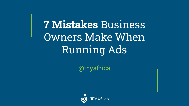**7 Mistakes** Business Owners Make When Running Ads

@tcyafrica

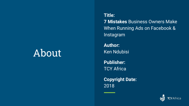## About

**Title: 7 Mistakes** Business Owners Make When Running Ads on Facebook & Instagram

**Author:** Ken Ndubisi

**Publisher:** TCY Africa

**Copyright Date:** 2018

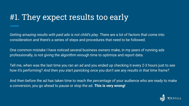#### #1. They expect results too early

*Getting amazing results with paid ads is not child's play*. There are a lot of factors that come into consideration and there's a series of steps and procedures that need to be followed.

One common mistake I have noticed several business owners make, in my years of running ads professionally, is not giving the algorithm enough time to optimize and report data.

Tell me, when was the last time you ran an ad and you ended up checking it every 2-3 hours just to see how it's performing? *And then you start panicking once you don't see any results in that time frame?*

And then before the ad has taken time to reach the percentage of your audience who are ready to make a conversion, you go ahead to pause or stop the ad. **This is very wrong!**

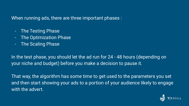When running ads, there are three important phases :

- The Testing Phase
- The Optimization Phase
- The Scaling Phase

In the test phase, you should let the ad run for 24 - 48 hours (depending on your niche and budget) before you make a decision to pause it.

That way, the algorithm has some time to get used to the parameters you set and then start showing your ads to a portion of your audience likely to engage with the advert.

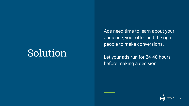Ads need time to learn about your audience, your offer and the right people to make conversions.

Let your ads run for 24-48 hours before making a decision.

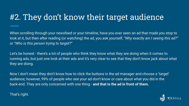#### #2. They don't know their target audience

When scrolling through your newsfeed or your timeline, have you ever seen an ad that made you stop to look at it, but then after reading (or watching) the ad, you ask yourself, *"Why exactly am I seeing this ad?"* or *"Who is this person trying to target?"*

Let's be honest - there's a lot of people who think they know what they are doing when it comes to running ads, but just one look at their ads and it's very clear to see that they don't know jack about what they are doing.

Now I don't mean they don't know how to click the buttons in the ad manager and choose a 'target' audience; however, 99% of people who see your ad don't know or care about what you did in the back-end. They are only concerned with one thing - **and that is the ad in front of them.**

#### That's right.

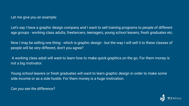Let me give you an example:

Let's say I have a graphic design company and I want to sell training programs to people of different age groups - working class adults, freelancers, teenagers, young school leavers, fresh graduates etc.

Now I may be selling one thing - which is graphic design - but the way I will sell it to these classes of people will be very different, don't you agree?

 A working class adult will want to learn how to make quick graphics on the go. For them money is not a big motivator.

Young school leavers or fresh graduates will want to learn graphic design in order to make some side income or as a side hustle. For them money is a huge motivation.

*Can you see the difference?*

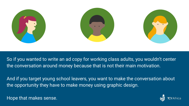

So if you wanted to write an ad copy for working class adults, you wouldn't center the conversation around money because that is not their main motivation.

And if you target young school leavers, you want to make the conversation about the opportunity they have to make money using graphic design.

Hope that makes sense.

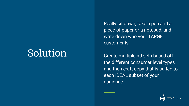Really sit down, take a pen and a piece of paper or a notepad, and write down who your TARGET customer is.

Create multiple ad sets based off the different consumer level types and then craft copy that is suited to each IDEAL subset of your audience.

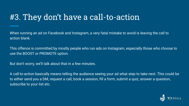#### #3. They don't have a call-to-action

When running an ad on Facebook and Instagram, a very fatal mistake to avoid is leaving the call to action blank.

This offence is committed by mostly people who run ads on Instagram, especially those who choose to use the BOOST or PROMOTE option.

But don't worry, we'll talk about that in a few minutes.

A call-to-action basically means telling the audience seeing your ad what step to take next. This could be to either send you a DM, request a call, book a session, fill a form, submit a quiz, answer a question, subscribe to your list etc.

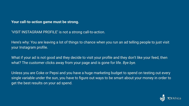#### **Your call-to-action game must be strong.**

'VISIT INSTAGRAM PROFILE' is not a strong call-to-action.

Here's why: You are leaving a lot of things to chance when you run an ad telling people to just visit your Instagram profile.

What if your ad is not good and they decide to visit your profile and they don't like your feed, then what? The customer clicks away from your page and is gone for life. *Bye bye.*

Unless you are Coke or Pepsi and you have a huge marketing budget to spend on testing out every single variable under the sun, you have to figure out ways to be smart about your money in order to get the best results on your ad spend.

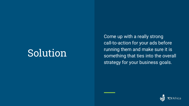Come up with a really strong call-to-action for your ads before running them and make sure it is something that ties into the overall strategy for your business goals.

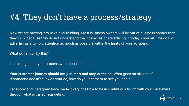#### #4. They don't have a process/strategy

Now we are moving into next level thinking. Most business owners will be out of business sooner than they think because they do not understand the intricacies of advertising in today's market. The goal of advertising is to hold attention as much as possible within the limits of your ad spend.

What do I mean by this?

I'm talking about your process when it comes to ads.

**Your customer journey should not just start and stop at the ad.** What goes on after that? If someone doesn't click on your ad, how do you get them to see you again?

Facebook and Instagram have made it very possible to be in continuous touch with your customers through what is called retargeting.

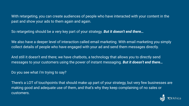With retargeting, you can create audiences of people who have interacted with your content in the past and show your ads to them again and again.

So retargeting should be a very key part of your strategy. *But it doesn't end there…*

We also have a deeper level of interaction called email marketing. With email marketing you simply collect details of people who have engaged with your ad and send them messages directly.

And still it doesn't end there; we have chatbots, a technology that allows you to directly send messages to your customers using the power of instant messaging. *But it doesn't end there…*

Do you see what i'm trying to say?

There's a LOT of touchpoints that should make up part of your strategy, but very few businesses are making good and adequate use of them, and that's why they keep complaining of no sales or customers.

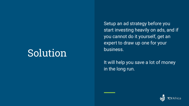Setup an ad strategy before you start investing heavily on ads, and if you cannot do it yourself, get an expert to draw up one for your business.

It will help you save a lot of money in the long run.

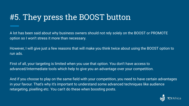#### #5. They press the BOOST button

A lot has been said about why business owners should not rely solely on the BOOST or PROMOTE option so I won't stress it more than necessary.

However, I will give just a few reasons that will make you think twice about using the BOOST option to run ads.

First of all, your targeting is limited when you use that option. You don't have access to advanced/intermediate tools which help to give you an advantage over your competition.

And if you choose to play on the same field with your competition, you need to have certain advantages in your favour. That's why it's important to understand some advanced techniques like audience retargeting, pixelling etc. You can't do these when boosting posts.

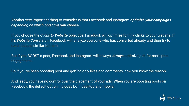Another very important thing to consider is that Facebook and Instagram *optimize your campaigns depending on which objective you choose.*

If you choose the *Clicks to Website* objective, Facebook will optimize for link clicks to your website. If it's *Website Conversion*, Facebook will analyze everyone who has converted already and then try to reach people similar to them.

But if you BOOST a post, Facebook and Instagram will always, *always* optimize just for more post engagement.

So if you've been boosting post and getting only likes and comments, now you know the reason.

And lastly, you have no control over the placement of your ads. When you are boosting posts on Facebook, the default option includes both desktop and mobile.

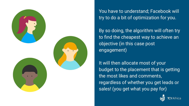

You have to understand; Facebook will try to do a bit of optimization for you.

By so doing, the algorithm will often try to find the cheapest way to achieve an objective (in this case post engagement)

It will then allocate most of your budget to the placement that is getting the most likes and comments, regardless of whether you get leads or sales! (you get what you pay for)

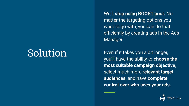Well, **stop using BOOST post.** No matter the targeting options you want to go with, you can do that efficiently by creating ads in the Ads Manager.

Even if it takes you a bit longer, you'll have the ability to **choose the most suitable campaign objective**, select much more r**elevant target audiences**, and have **complete control over who sees your ads.**

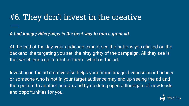#### #6. They don't invest in the creative

*A bad image/video/copy is the best way to ruin a great ad.* 

At the end of the day, your audience cannot see the buttons you clicked on the backend, the targeting you set, the nitty gritty of the campaign. All they see is that which ends up in front of them - which is the ad.

Investing in the ad creative also helps your brand image, because an influencer or someone who is not in your target audience may end up seeing the ad and then point it to another person, and by so doing open a floodgate of new leads and opportunities for you.

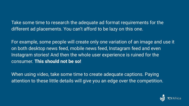Take some time to research the adequate ad format requirements for the different ad placements. You can't afford to be lazy on this one.

For example, some people will create only one variation of an image and use it on both desktop news feed, mobile news feed, Instagram feed and even Instagram stories! And then the whole user experience is ruined for the consumer. **This should not be so!**

When using video, take some time to create adequate captions. Paying attention to these little details will give you an edge over the competition.

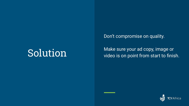Don't compromise on quality.

Solution Make sure your ad copy, image or<br>video is on point from start to finish.

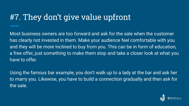#### #7. They don't give value upfront

Most business owners are too forward and ask for the sale when the customer has clearly not invested in them. Make your audience feel comfortable with you and they will be more inclined to buy from you. This can be in form of education, a free offer, just something to make them stop and take a closer look at what you have to offer.

Using the famous bar example, you don't walk up to a lady at the bar and ask her to marry you. Likewise, you have to build a connection gradually and then ask for the sale.

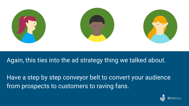

#### Again, this ties into the ad strategy thing we talked about.

Have a step by step conveyor belt to convert your audience from prospects to customers to raving fans.

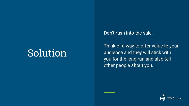Don't rush into the sale.

Think of a way to offer value to your audience and they will stick with you for the long run and also tell other people about you.

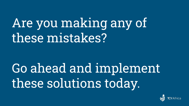# Are you making any of these mistakes?

Go ahead and implement these solutions today.